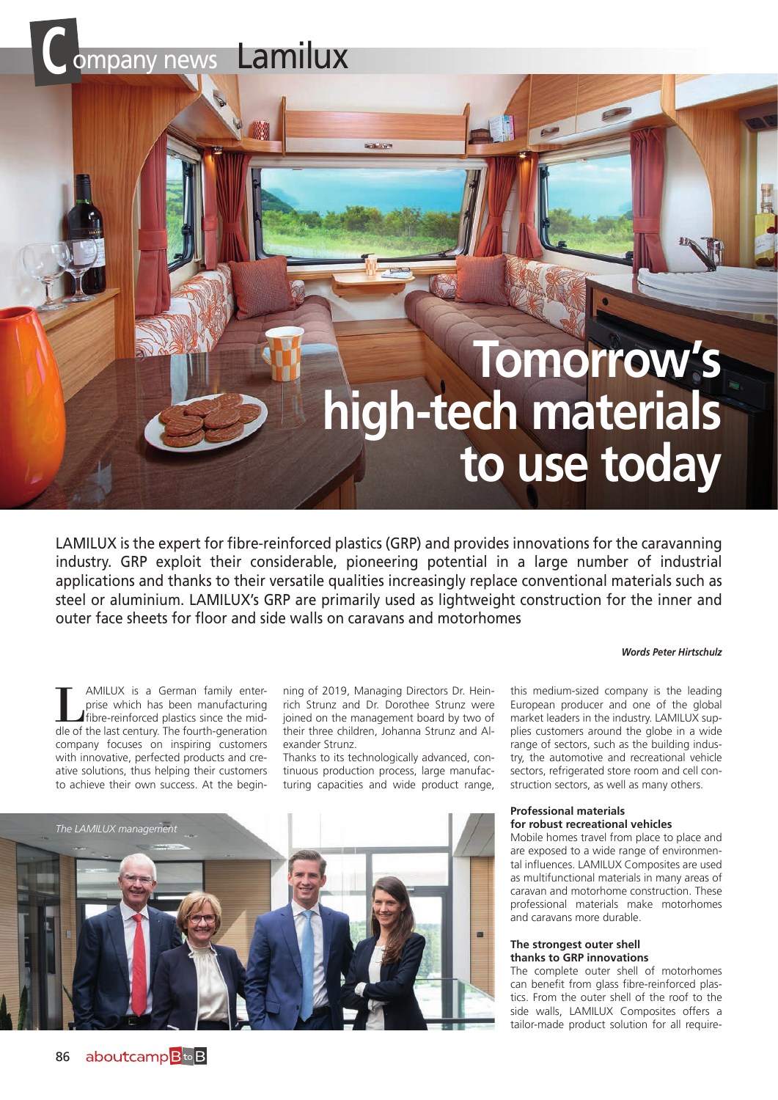# **C** ompany news Lamilux

# **Tomorrow's high-tech materials to use today**

LAMILUX is the expert for fibre-reinforced plastics (GRP) and provides innovations for the caravanning industry. GRP exploit their considerable, pioneering potential in a large number of industrial applications and thanks to their versatile qualities increasingly replace conventional materials such as steel or aluminium. LAMILUX's GRP are primarily used as lightweight construction for the inner and outer face sheets for floor and side walls on caravans and motorhomes

#### *Words Peter Hirtschulz*

AMILUX is a German family enterprise which has been manufacturing fibre-reinforced plastics since the middle of the last century. The fourth-generation company focuses on inspiring customers with innovative, perfected products and creative solutions, thus helping their customers to achieve their own success. At the begin-

ning of 2019, Managing Directors Dr. Heinrich Strunz and Dr. Dorothee Strunz were joined on the management board by two of their three children, Johanna Strunz and Alexander Strunz.

Thanks to its technologically advanced, continuous production process, large manufacturing capacities and wide product range,

this medium-sized company is the leading European producer and one of the global market leaders in the industry. LAMILUX supplies customers around the globe in a wide range of sectors, such as the building industry, the automotive and recreational vehicle sectors, refrigerated store room and cell construction sectors, as well as many others.

#### **Professional materials for robust recreational vehicles**

Mobile homes travel from place to place and are exposed to a wide range of environmental influences. LAMILUX Composites are used as multifunctional materials in many areas of caravan and motorhome construction. These professional materials make motorhomes and caravans more durable.

#### **The strongest outer shell thanks to GRP innovations**

The complete outer shell of motorhomes can benefit from glass fibre-reinforced plastics. From the outer shell of the roof to the side walls, LAMILUX Composites offers a tailor-made product solution for all require-